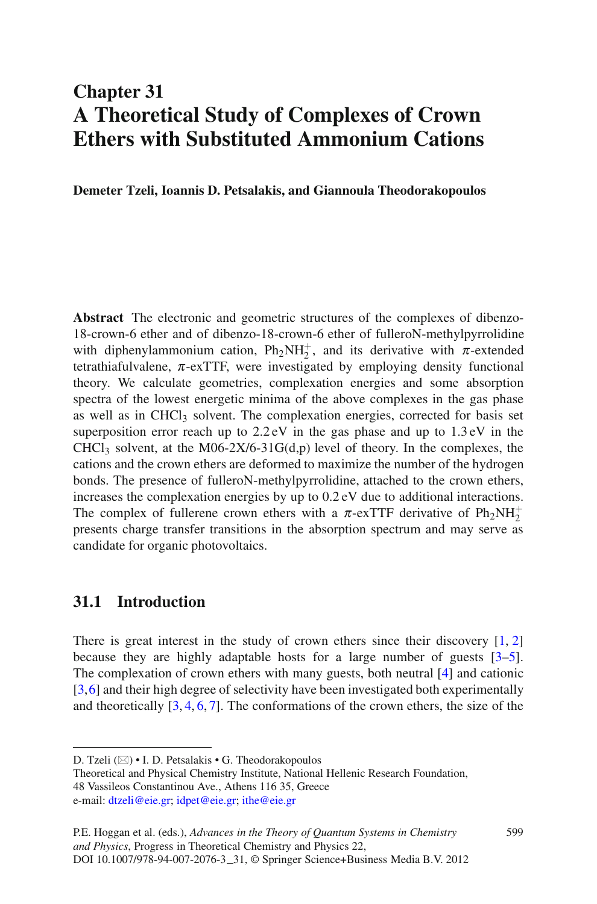### **Chapter 31 A Theoretical Study of Complexes of Crown Ethers with Substituted Ammonium Cations**

**Demeter Tzeli, Ioannis D. Petsalakis, and Giannoula Theodorakopoulos**

**Abstract** The electronic and geometric structures of the complexes of dibenzo-18-crown-6 ether and of dibenzo-18-crown-6 ether of fulleroN-methylpyrrolidine with diphenylammonium cation,  $Ph_2NH_2^+$ , and its derivative with  $\pi$ -extended tetrathiafulvalene,  $\pi$ -exTTF, were investigated by employing density functional theory. We calculate geometries, complexation energies and some absorption spectra of the lowest energetic minima of the above complexes in the gas phase as well as in CHCl<sub>3</sub> solvent. The complexation energies, corrected for basis set superposition error reach up to 2.2 eV in the gas phase and up to 1.3 eV in the CHCl<sub>3</sub> solvent, at the M06-2X/6-31G(d,p) level of theory. In the complexes, the cations and the crown ethers are deformed to maximize the number of the hydrogen bonds. The presence of fulleroN-methylpyrrolidine, attached to the crown ethers, increases the complexation energies by up to 0.2 eV due to additional interactions. The complex of fullerene crown ethers with a  $\pi$ -exTTF derivative of  $Ph_2NH_2^+$ presents charge transfer transitions in the absorption spectrum and may serve as candidate for organic photovoltaics.

### **31.1 Introduction**

There is great interest in the study of crown ethers since their discovery  $[1, 2]$  $[1, 2]$  $[1, 2]$  $[1, 2]$ because they are highly adaptable hosts for a large number of guests [\[3](#page-10-2)[–5\]](#page-10-3). The complexation of crown ethers with many guests, both neutral [\[4](#page-10-4)] and cationic [\[3](#page-10-2)[,6](#page-10-5)] and their high degree of selectivity have been investigated both experimentally and theoretically  $[3, 4, 6, 7]$  $[3, 4, 6, 7]$  $[3, 4, 6, 7]$  $[3, 4, 6, 7]$  $[3, 4, 6, 7]$  $[3, 4, 6, 7]$  $[3, 4, 6, 7]$ . The conformations of the crown ethers, the size of the

D. Tzeli (⊠) • I. D. Petsalakis • G. Theodorakopoulos

Theoretical and Physical Chemistry Institute, National Hellenic Research Foundation, 48 Vassileos Constantinou Ave., Athens 116 35, Greece e-mail: [dtzeli@eie.gr;](dtzeli@eie.gr) [idpet@eie.gr;](idpet@eie.gr) <ithe@eie.gr>

P.E. Hoggan et al. (eds.), *Advances in the Theory of Quantum Systems in Chemistry and Physics*, Progress in Theoretical Chemistry and Physics 22, DOI 10.1007/978-94-007-2076-3 31, © Springer Science+Business Media B.V. 2012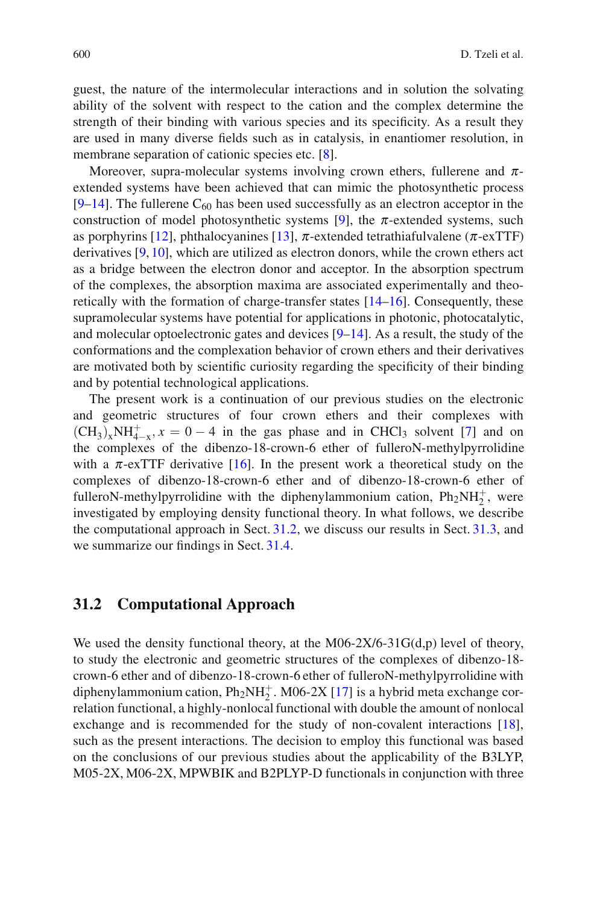guest, the nature of the intermolecular interactions and in solution the solvating ability of the solvent with respect to the cation and the complex determine the strength of their binding with various species and its specificity. As a result they are used in many diverse fields such as in catalysis, in enantiomer resolution, in membrane separation of cationic species etc. [\[8\]](#page-10-7).

Moreover, supra-molecular systems involving crown ethers, fullerene and  $\pi$ extended systems have been achieved that can mimic the photosynthetic process  $[9-14]$  $[9-14]$ . The fullerene C<sub>60</sub> has been used successfully as an electron acceptor in the construction of model photosynthetic systems [\[9](#page-10-8)], the  $\pi$ -extended systems, such as porphyrins [\[12](#page-10-10)], phthalocyanines [\[13](#page-10-11)],  $\pi$ -extended tetrathiafulvalene ( $\pi$ -exTTF) derivatives [\[9,](#page-10-8) [10](#page-10-12)], which are utilized as electron donors, while the crown ethers act as a bridge between the electron donor and acceptor. In the absorption spectrum of the complexes, the absorption maxima are associated experimentally and theoretically with the formation of charge-transfer states [\[14](#page-10-9)[–16\]](#page-10-13). Consequently, these supramolecular systems have potential for applications in photonic, photocatalytic, and molecular optoelectronic gates and devices  $[9-14]$  $[9-14]$ . As a result, the study of the conformations and the complexation behavior of crown ethers and their derivatives are motivated both by scientific curiosity regarding the specificity of their binding and by potential technological applications.

The present work is a continuation of our previous studies on the electronic and geometric structures of four crown ethers and their complexes with  $(\text{CH}_3)_x\text{NH}_{4-x}^+$ ,  $x = 0 - 4$  in the gas phase and in CHCl<sub>3</sub> solvent [\[7\]](#page-10-6) and on the complexes of the dibenzo-18-crown-6 ether of fulleroN-methylpyrrolidine with a  $\pi$ -exTTF derivative [\[16\]](#page-10-13). In the present work a theoretical study on the complexes of dibenzo-18-crown-6 ether and of dibenzo-18-crown-6 ether of fulleroN-methylpyrrolidine with the diphenylammonium cation,  $Ph_2NH_2^+$ , were investigated by employing density functional theory. In what follows, we describe the computational approach in Sect. [31.2,](#page-1-0) we discuss our results in Sect. [31.3,](#page-5-0) and we summarize our findings in Sect. [31.4.](#page-9-0)

#### <span id="page-1-0"></span>**31.2 Computational Approach**

We used the density functional theory, at the M06-2X/6-31 $G(d,p)$  level of theory, to study the electronic and geometric structures of the complexes of dibenzo-18 crown-6 ether and of dibenzo-18-crown-6 ether of fulleroN-methylpyrrolidine with diphenylammonium cation,  $Ph_2NH_2^+$ . M06-2X [\[17\]](#page-10-14) is a hybrid meta exchange correlation functional, a highly-nonlocal functional with double the amount of nonlocal exchange and is recommended for the study of non-covalent interactions [\[18\]](#page-10-15), such as the present interactions. The decision to employ this functional was based on the conclusions of our previous studies about the applicability of the B3LYP, M05-2X, M06-2X, MPWBIK and B2PLYP-D functionals in conjunction with three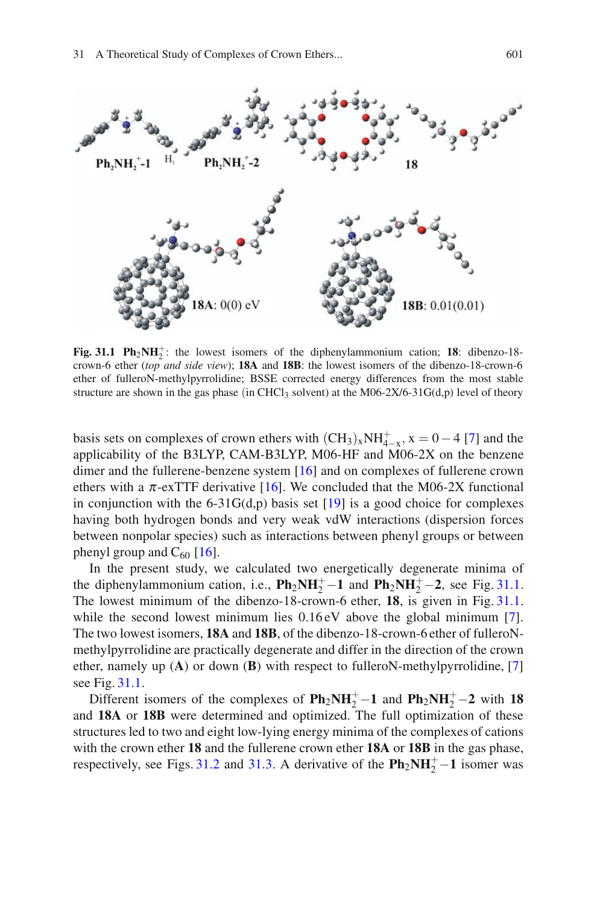

<span id="page-2-0"></span>**Fig. 31.1 Ph<sub>2</sub>NH** $_2^+$ : the lowest isomers of the diphenylammonium cation; **18**: dibenzo-18crown-6 ether (*top and side view*); **18A** and **18B**: the lowest isomers of the dibenzo-18-crown-6 ether of fulleroN-methylpyrrolidine; BSSE corrected energy differences from the most stable structure are shown in the gas phase (in CHCl<sub>3</sub> solvent) at the M06-2X/6-31G(d,p) level of theory

basis sets on complexes of crown ethers with  $(CH_3)_xNH_{+\infty}^+$ ,  $x = 0 - 4$  [\[7](#page-10-6)] and the applicability of the B3LYP, CAM-B3LYP, M06-HF and M06-2X on the benzene dimer and the fullerene-benzene system [\[16](#page-10-13)] and on complexes of fullerene crown ethers with a  $\pi$ -exTTF derivative [\[16\]](#page-10-13). We concluded that the M06-2X functional in conjunction with the 6-31G(d,p) basis set  $[19]$  $[19]$  is a good choice for complexes having both hydrogen bonds and very weak vdW interactions (dispersion forces between nonpolar species) such as interactions between phenyl groups or between phenyl group and  $C_{60}$  [\[16](#page-10-13)].

In the present study, we calculated two energetically degenerate minima of the diphenylammonium cation, i.e.,  $\mathbf{Ph}_2\mathbf{NH}_2^+\mathbf{-1}$  and  $\mathbf{Ph}_2\mathbf{NH}_2^+\mathbf{-2}$ , see Fig. [31.1.](#page-2-0) The lowest minimum of the dibenzo-18-crown-6 ether, **18**, is given in Fig. [31.1.](#page-2-0) while the second lowest minimum lies  $0.16 \text{ eV}$  above the global minimum [\[7\]](#page-10-6). The two lowest isomers, **18A** and **18B**, of the dibenzo-18-crown-6 ether of fulleroNmethylpyrrolidine are practically degenerate and differ in the direction of the crown ether, namely up (**A**) or down (**B**) with respect to fulleroN-methylpyrrolidine, [\[7](#page-10-6)] see Fig. [31.1.](#page-2-0)

Different isomers of the complexes of  $Ph_2NH_2^+$  – 1 and  $Ph_2NH_2^+$  – 2 with 18 and **18A** or **18B** were determined and optimized. The full optimization of these structures led to two and eight low-lying energy minima of the complexes of cations with the crown ether **18** and the fullerene crown ether **18A** or **18B** in the gas phase, respectively, see Figs. [31.2](#page-3-0) and [31.3.](#page-4-0) A derivative of the  $\text{Ph}_2\text{NH}_2^+$  – 1 isomer was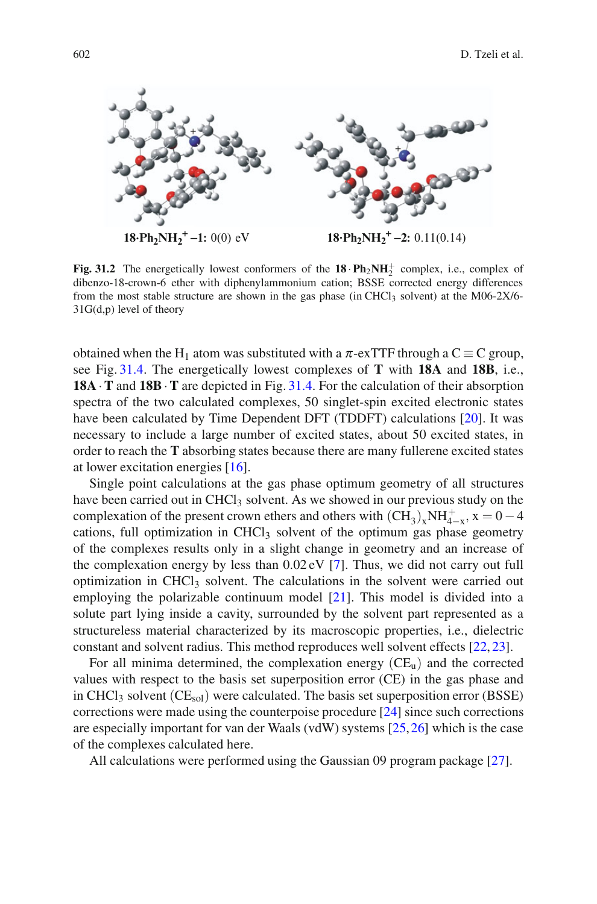

<span id="page-3-0"></span>**Fig. 31.2** The energetically lowest conformers of the  $18 \cdot \text{Ph}_2\text{NH}_2^+$  complex, i.e., complex of dibenzo-18-crown-6 ether with diphenylammonium cation; BSSE corrected energy differences from the most stable structure are shown in the gas phase (in CHCl<sub>3</sub> solvent) at the M06-2X/6-31G(d,p) level of theory

obtained when the H<sub>1</sub> atom was substituted with a  $\pi$ -exTTF through a C  $\equiv$  C group, see Fig. [31.4.](#page-5-1) The energetically lowest complexes of **T** with **18A** and **18B**, i.e., **18A** ·**T** and **18B**·**T** are depicted in Fig. [31.4.](#page-5-1) For the calculation of their absorption spectra of the two calculated complexes, 50 singlet-spin excited electronic states have been calculated by Time Dependent DFT (TDDFT) calculations [\[20\]](#page-11-1). It was necessary to include a large number of excited states, about 50 excited states, in order to reach the **T** absorbing states because there are many fullerene excited states at lower excitation energies [\[16\]](#page-10-13).

Single point calculations at the gas phase optimum geometry of all structures have been carried out in CHCl<sub>3</sub> solvent. As we showed in our previous study on the complexation of the present crown ethers and others with  $(CH_3)_xNH_{4-x}^+$ ,  $x = 0-4$ cations, full optimization in CHCl<sub>3</sub> solvent of the optimum gas phase geometry of the complexes results only in a slight change in geometry and an increase of the complexation energy by less than 0.02 eV [\[7\]](#page-10-6). Thus, we did not carry out full optimization in  $CHCl<sub>3</sub>$  solvent. The calculations in the solvent were carried out employing the polarizable continuum model [\[21](#page-11-2)]. This model is divided into a solute part lying inside a cavity, surrounded by the solvent part represented as a structureless material characterized by its macroscopic properties, i.e., dielectric constant and solvent radius. This method reproduces well solvent effects [\[22,](#page-11-3) [23](#page-11-4)].

For all minima determined, the complexation energy  $(CE<sub>u</sub>)$  and the corrected values with respect to the basis set superposition error (CE) in the gas phase and in CHCl<sub>3</sub> solvent (CE<sub>sol</sub>) were calculated. The basis set superposition error (BSSE) corrections were made using the counterpoise procedure [\[24\]](#page-11-5) since such corrections are especially important for van der Waals (vdW) systems [\[25](#page-11-6),[26\]](#page-11-7) which is the case of the complexes calculated here.

All calculations were performed using the Gaussian 09 program package [\[27\]](#page-11-8).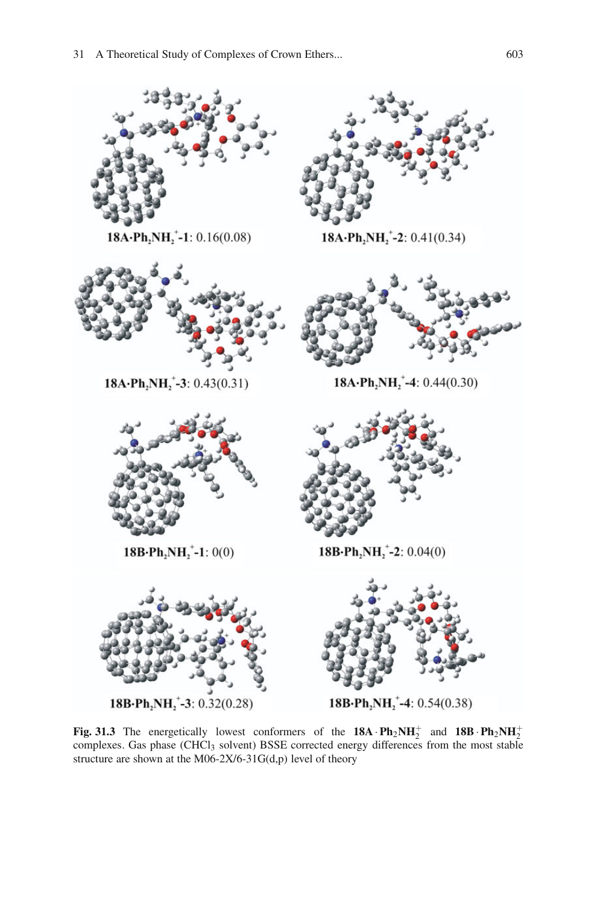

<span id="page-4-0"></span>**Fig. 31.3** The energetically lowest conformers of the  $18A \cdot Ph_2NH_2^+$  and  $18B \cdot Ph_2NH_2^+$ complexes. Gas phase (CHCl<sub>3</sub> solvent) BSSE corrected energy differences from the most stable structure are shown at the M06-2X/6-31G(d,p) level of theory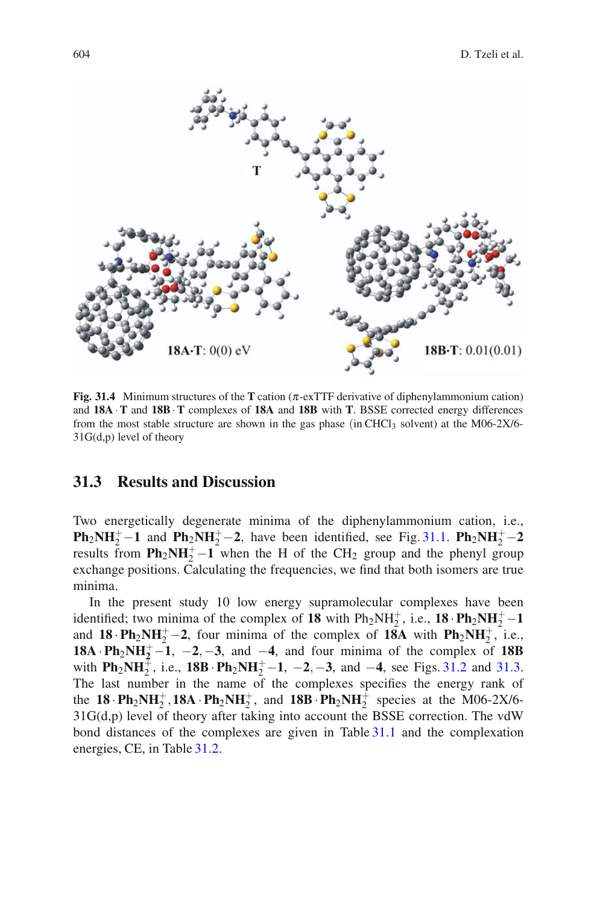

<span id="page-5-1"></span>**Fig. 31.4** Minimum structures of the **T** cation (π-exTTF derivative of diphenylammonium cation) and **18A**·**T** and **18B**·**T** complexes of **18A** and **18B** with **T**. BSSE corrected energy differences from the most stable structure are shown in the gas phase (in CHCl<sub>3</sub> solvent) at the M06-2X/6-31G(d,p) level of theory

### <span id="page-5-0"></span>**31.3 Results and Discussion**

Two energetically degenerate minima of the diphenylammonium cation, i.e., **Ph**<sub>2</sub>**NH**<sup>+</sup><sub>2</sub><sup> $-$ </sup> **1** and **Ph**<sub>2</sub>**NH**<sup>+</sup><sub>2</sub><sup> $-$ </sup> **2***,* have been identified, see Fig. [31.1.](#page-2-0) **Ph**<sub>2</sub>**NH**<sup>+</sup><sub>2</sub><sup> $-$ </sup> **2** results from  $\text{Ph}_2\text{NH}_2^+$  –1 when the H of the CH<sub>2</sub> group and the phenyl group exchange positions. Calculating the frequencies, we find that both isomers are true minima.

In the present study 10 low energy supramolecular complexes have been identified; two minima of the complex of **18** with  $Ph_2NH_2^+$ , i.e., **18**  $\cdot Ph_2NH_2^+$  – 1 and  $18 \cdot \text{Ph}_2\text{NH}_2^+ - 2$ , four minima of the complex of  $18\text{A}$  with  $\text{Ph}_2\text{NH}_2^+$ , i.e., **18A** •**Ph<sub>2</sub>NH**<sup> $+$ </sup> $-$ **1**,  $-$ **2** $-$ **-3**, and  $-$ **4**, and four minima of the complex of **18B** with  $\text{Ph}_2\text{NH}_2^+$ , i.e.,  $18\text{B}\cdot\text{Ph}_2\text{NH}_2^+$  −1, −2, −3, and −4, see Figs. [31.2](#page-3-0) and [31.3.](#page-4-0) The last number in the name of the complexes specifies the energy rank of the **18**  $\cdot$ **Ph**<sub>2</sub>**NH**<sup>+</sup><sub>2</sub>, **18A**  $\cdot$ **Ph**<sub>2</sub>**NH**<sup>+</sup><sub>2</sub><sup>+</sup>, and **18B**  $\cdot$ **Ph**<sub>2</sub>**NH**<sup>+</sup><sub>2</sub><sup>+</sup> species at the M06-2X/6-31G(d,p) level of theory after taking into account the BSSE correction. The vdW bond distances of the complexes are given in Table [31.1](#page-6-0) and the complexation energies, CE, in Table [31.2.](#page-7-0)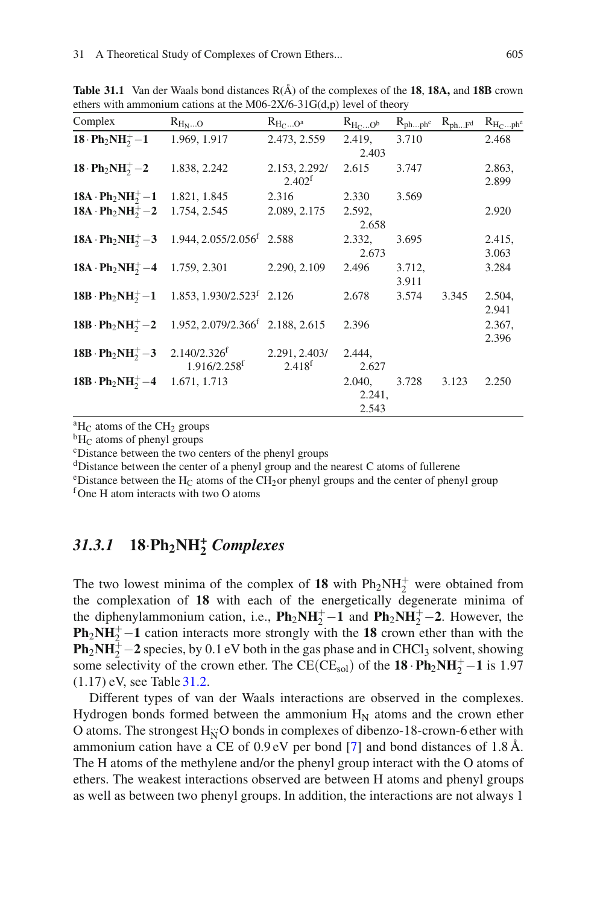| Complex                                         | $R_{H_NO}$                                                                     | $R_{H_CO^a}$                        | $R_{H_CO^b}$              | $R_{phph}$ c $R_{phFd}$ |       | $R_{H_Cph^e}$   |
|-------------------------------------------------|--------------------------------------------------------------------------------|-------------------------------------|---------------------------|-------------------------|-------|-----------------|
| $18 \cdot Ph_2NH_2^+ - 1$                       | 1.969, 1.917                                                                   | 2.473, 2.559                        | 2.419,<br>2.403           | 3.710                   |       | 2.468           |
| $18 \cdot Ph_2NH_2^+ - 2$                       | 1.838, 2.242                                                                   | 2.153, 2.292/<br>2.402 <sup>f</sup> | 2.615                     | 3.747                   |       | 2.863,<br>2.899 |
| $18A \cdot Ph_2NH_2^+ - 1$                      | 1.821, 1.845                                                                   | 2.316                               | 2.330                     | 3.569                   |       |                 |
| $18A \cdot Ph_2NH_2^+ - 2$                      | 1.754, 2.545                                                                   | 2.089, 2.175                        | 2.592,<br>2.658           |                         |       | 2.920           |
|                                                 | $18A \cdot Ph_2NH_2^+ - 3$ 1.944, 2.055/2.056 <sup>f</sup> 2.588               |                                     | 2.332,<br>2.673           | 3.695                   |       | 2.415,<br>3.063 |
| $18A \cdot Ph_2NH_2^+ - 4$ 1.759, 2.301         |                                                                                | 2.290, 2.109                        | 2.496                     | 3.712,<br>3.911         |       | 3.284           |
|                                                 | 18B · Ph <sub>2</sub> NH <sub>2</sub> -1 1.853, 1.930/2.523 <sup>f</sup> 2.126 |                                     | 2.678                     | 3.574                   | 3.345 | 2.504,<br>2.941 |
|                                                 | 18B · $Ph_2NH_2^+ - 2$ 1.952, 2.079/2.366 <sup>f</sup> 2.188, 2.615            |                                     | 2.396                     |                         |       | 2.367,<br>2.396 |
| 18B · $Ph_2NH_2^+ - 3$ 2.140/2.326 <sup>f</sup> | $1.916/2.258$ <sup>f</sup>                                                     | 2.291, 2.403/<br>2.418 <sup>f</sup> | 2.444,<br>2.627           |                         |       |                 |
| 18B · $Ph_2NH_2^+ - 4$ 1.671, 1.713             |                                                                                |                                     | 2.040,<br>2.241,<br>2.543 | 3.728                   | 3.123 | 2.250           |

<span id="page-6-0"></span>**Table 31.1** Van der Waals bond distances  $R(A)$  of the complexes of the **18, 18A,** and **18B** crown ethers with ammonium cations at the M06-2X/6-31 $G(d,p)$  level of theory

<sup>a</sup>H<sub>C</sub> atoms of the CH<sub>2</sub> groups<br><sup>b</sup>H<sub>C</sub> atoms of phenyl groups cDistance between the two centers of the phenyl groups

dDistance between the center of a phenyl group and the nearest C atoms of fullerene

<sup>e</sup>Distance between the H<sub>C</sub> atoms of the CH<sub>2</sub>or phenyl groups and the center of phenyl group f<sub>One</sub> H atom interacts with two O atoms

# *31.3.1* **<sup>18</sup>**·**Ph2NH***<sup>+</sup>* **<sup>2</sup>** *Complexes*

The two lowest minima of the complex of  $18$  with  $Ph_2NH_2^+$  were obtained from the complexation of **18** with each of the energetically degenerate minima of the diphenylammonium cation, i.e.,  $\mathbf{Ph}_2\mathbf{NH}_2^+\mathbf{-1}$  and  $\mathbf{Ph}_2\mathbf{NH}_2^+\mathbf{-2}$ . However, the **Ph<sub>2</sub>NH<sup>+</sup>** $-1$  cation interacts more strongly with the **18** crown ether than with the **Ph<sub>2</sub>NH** $_2^{\frac{1}{2}}$  – 2 species, by 0.1 eV both in the gas phase and in CHCl<sub>3</sub> solvent, showing some selectivity of the crown ether. The CE(CE<sub>sol</sub>) of the  $18 \cdot Ph_2NH_2^+ - 1$  is 1.97 (1.17) eV, see Table [31.2.](#page-7-0)

Different types of van der Waals interactions are observed in the complexes. Hydrogen bonds formed between the ammonium  $H_N$  atoms and the crown ether O atoms. The strongest H<sub>N</sub>O bonds in complexes of dibenzo-18-crown-6 ether with ammonium cation have a CE of  $0.9 \text{ eV}$  per bond [\[7](#page-10-6)] and bond distances of 1.8 Å. The H atoms of the methylene and/or the phenyl group interact with the O atoms of ethers. The weakest interactions observed are between H atoms and phenyl groups as well as between two phenyl groups. In addition, the interactions are not always 1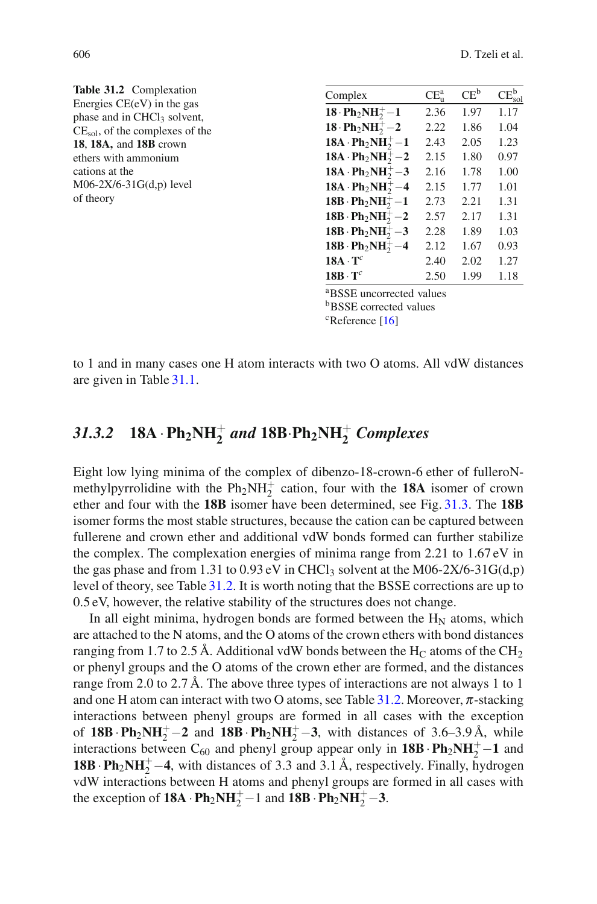<span id="page-7-0"></span>

| Table 31.2 Complexation                                                 | Complex                                                                | CE <sub>n</sub> <sup>a</sup> | $CE^b$ | $CE_{sol}^{b}$ |  |  |
|-------------------------------------------------------------------------|------------------------------------------------------------------------|------------------------------|--------|----------------|--|--|
| Energies $CE(eV)$ in the gas<br>phase and in CHCl <sub>3</sub> solvent, | $18 \cdot Ph_2NH_2^+ - 1$                                              | 2.36                         | 1.97   | 1.17           |  |  |
| $CE_{sol}$ , of the complexes of the                                    | $18 \cdot Ph_2NH_2^+ - 2$                                              | 2.22                         | 1.86   | 1.04           |  |  |
| 18, 18A, and 18B crown                                                  | $18A \cdot Ph_2NH_2^+ - 1$                                             | 2.43                         | 2.05   | 1.23           |  |  |
| ethers with ammonium                                                    | $18A \cdot Ph_2NH_2^+ - 2$                                             | 2.15                         | 1.80   | 0.97           |  |  |
| cations at the                                                          | $18A \cdot Ph_2NH_2^+ - 3$                                             | 2.16                         | 1.78   | 1.00           |  |  |
| $M06-2X/6-31G(d,p)$ level                                               | $18A \cdot Ph_2NH_2^+ - 4$                                             | 2.15                         | 1.77   | 1.01           |  |  |
| of theory                                                               | 18B $Ph_2NH_2^+ - 1$                                                   | 2.73                         | 2.21   | 1.31           |  |  |
|                                                                         | $18B \cdot Ph_2NH_2^+ - 2$                                             | 2.57                         | 2.17   | 1.31           |  |  |
|                                                                         | 18B $\cdot$ Ph <sub>2</sub> NH <sub>2</sub> <sup>+</sup> -3            | 2.28                         | 1.89   | 1.03           |  |  |
|                                                                         | $18B \cdot Ph_2NH_2^+ - 4$                                             | 2.12                         | 1.67   | 0.93           |  |  |
|                                                                         | $18A \cdot T^c$                                                        | 2.40                         | 2.02   | 1.27           |  |  |
|                                                                         | $18B \cdot T^c$                                                        | 2.50                         | 1.99   | 1.18           |  |  |
|                                                                         | <sup>a</sup> BSSE uncorrected values<br><b>b</b> BSSE corrected values |                              |        |                |  |  |

 $c$ Reference [\[16\]](#page-10-13)

to 1 and in many cases one H atom interacts with two O atoms. All vdW distances are given in Table [31.1.](#page-6-0)

# *31.3.2* **18A**  $\cdot$  **Ph**<sub>2</sub>**NH**<sub> $2$ </sub><sup> $+$ </sup> *and* **18B** $\cdot$ **Ph**<sub>2</sub>**NH**<sub> $2$ </sub><sup> $+$ </sup> *Complexes*

Eight low lying minima of the complex of dibenzo-18-crown-6 ether of fulleroNmethylpyrrolidine with the  $Ph_2NH_2^+$  cation, four with the **18A** isomer of crown ether and four with the **18B** isomer have been determined, see Fig. [31.3.](#page-4-0) The **18B** isomer forms the most stable structures, because the cation can be captured between fullerene and crown ether and additional vdW bonds formed can further stabilize the complex. The complexation energies of minima range from 2.21 to 1.67 eV in the gas phase and from 1.31 to 0.93 eV in CHCl<sub>3</sub> solvent at the M06-2X/6-31G(d,p) level of theory, see Table [31.2.](#page-7-0) It is worth noting that the BSSE corrections are up to 0.5 eV, however, the relative stability of the structures does not change.

In all eight minima, hydrogen bonds are formed between the  $H_N$  atoms, which are attached to the N atoms, and the O atoms of the crown ethers with bond distances ranging from 1.7 to 2.5 Å. Additional vdW bonds between the  $H_C$  atoms of the CH<sub>2</sub> or phenyl groups and the O atoms of the crown ether are formed, and the distances range from 2.0 to 2.7 Å. The above three types of interactions are not always 1 to 1 and one H atom can interact with two O atoms, see Table [31.2.](#page-7-0) Moreover,  $\pi$ -stacking interactions between phenyl groups are formed in all cases with the exception of  $18B \cdot Ph_2NH_2^+ - 2$  and  $18B \cdot Ph_2NH_2^+ - 3$ , with distances of 3.6–3.9 Å, while interactions between  $C_{60}$  and phenyl group appear only in  $18B \cdot Ph_2NH_2^+ - 1$  and **18B**  $\cdot$  **Ph**<sub>2</sub>**NH**<sub>2</sub><sup> $+$ </sup> –4, with distances of 3.3 and 3.1 Å, respectively. Finally, hydrogen vdW interactions between H atoms and phenyl groups are formed in all cases with the exception of  $18A \cdot Ph_2NH_2^+ - 1$  and  $18B \cdot Ph_2NH_2^+ - 3$ .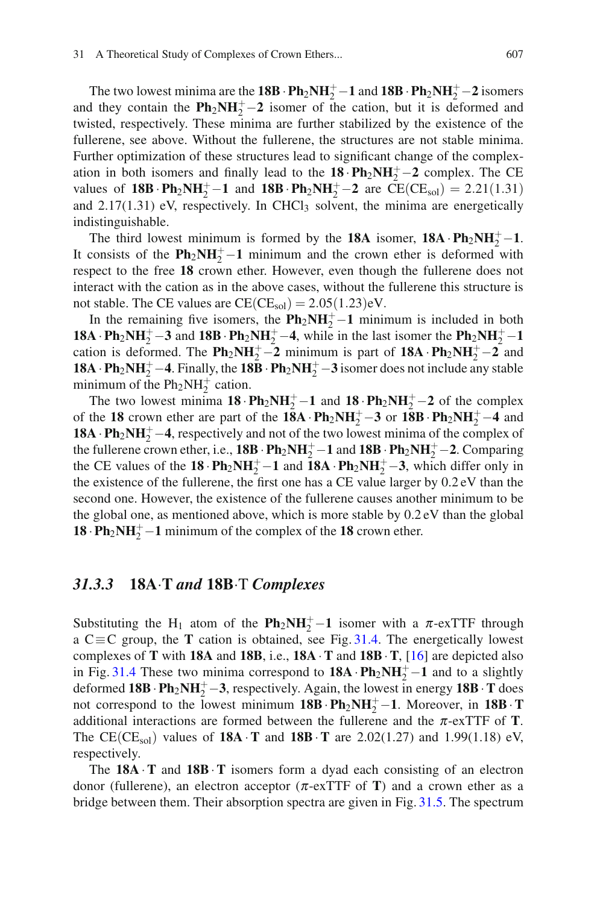The two lowest minima are the **18B** ·  $Ph_2NH_2^+ - 1$  and  $18B \cdot Ph_2NH_2^+ - 2$  isomers and they contain the  $\mathbf{Ph}_2\mathbf{NH}_2^+ - 2$  isomer of the cation, but it is deformed and twisted, respectively. These minima are further stabilized by the existence of the fullerene, see above. Without the fullerene, the structures are not stable minima. Further optimization of these structures lead to significant change of the complexation in both isomers and finally lead to the  $18 \cdot \text{Ph}_2\text{NH}_2^+ - 2$  complex. The CE values of **18B**·**Ph**<sub>2</sub>**NH**<sub>2</sub><sup>+</sup> −**1** and **18B**·**Ph**<sub>2</sub>**NH**<sub>2</sub><sup>+</sup> −**2** are CE(CE<sub>sol</sub>) = 2*.*21(1*.*31) and  $2.17(1.31)$  eV, respectively. In CHCl<sub>3</sub> solvent, the minima are energetically indistinguishable.

The third lowest minimum is formed by the **18A** isomer, **18A** ·  $Ph_2NH_2^+ - 1$ . It consists of the  $\mathbf{Ph}_2\mathbf{NH}_2^+ - \mathbf{1}$  minimum and the crown ether is deformed with respect to the free **18** crown ether. However, even though the fullerene does not interact with the cation as in the above cases, without the fullerene this structure is not stable. The CE values are  $CE(CE_{sol}) = 2.05(1.23)$ eV.

In the remaining five isomers, the  $Ph_2NH_2^+$  – 1 minimum is included in both **18A** ·  $Ph_2NH_2^+$  – 3 and **18B** ·  $Ph_2NH_2^+$  – 4, while in the last isomer the  $Ph_2NH_2^+$  – 1 cation is deformed. The  $\mathbf{Ph}_2\mathbf{NH}_2^+ - 2$  minimum is part of  $18\mathbf{A} \cdot \mathbf{Ph}_2\mathbf{NH}_2^+ - 2$  and **18A** ·  $\mathbf{Ph}_2\mathbf{NH}_2^+ - 4$ . Finally, the **18B** ·  $\mathbf{Ph}_2\mathbf{NH}_2^+ - 3$  isomer does not include any stable minimum of the  $Ph_2NH_2^+$  cation.

The two lowest minima  $18 \cdot \text{Ph}_2 \text{NH}_2^+ - 1$  and  $18 \cdot \text{Ph}_2 \text{NH}_2^+ - 2$  of the complex of the **18** crown ether are part of the **18A** ·  $Ph_2NH_2^+ - 3$  or  $18B \cdot Ph_2NH_2^+ - 4$  and **18A**  $\cdot$  **Ph**<sub>2</sub>**NH**<sub>2</sub><sup> $+$ </sup> – **4**, respectively and not of the two lowest minima of the complex of the fullerene crown ether, i.e.,  $18B \cdot Ph_2NH_2^+ - 1$  and  $18B \cdot Ph_2NH_2^+ - 2$ . Comparing the CE values of the  $18 \cdot Ph_2NH_2^+ - 1$  and  $18A \cdot Ph_2NH_2^+ - 3$ , which differ only in the existence of the fullerene, the first one has a CE value larger by 0.2 eV than the second one. However, the existence of the fullerene causes another minimum to be the global one, as mentioned above, which is more stable by 0.2 eV than the global **18** ·  $\text{Ph}_2\text{NH}_2^+$  – 1 minimum of the complex of the 18 crown ether.

#### *31.3.3* **18A**·**T** *and* **18B**·T *Complexes*

Substituting the H<sub>1</sub> atom of the  $\text{Ph}_2\text{NH}_2^+$  –1 isomer with a  $\pi$ -exTTF through a C≡C group, the **T** cation is obtained, see Fig. [31.4.](#page-5-1) The energetically lowest complexes of **T** with **18A** and **18B**, i.e., **18A** ·**T** and **18B**·**T**, [\[16](#page-10-13)] are depicted also in Fig. [31.4](#page-5-1) These two minima correspond to  $18A \cdot Ph_2NH_2^+ - 1$  and to a slightly deformed  $18B \cdot Ph_2NH_2^+ - 3$ , respectively. Again, the lowest in energy  $18B \cdot T$  does not correspond to the lowest minimum  $18B \cdot Ph_2NH_2^+ - 1$ . Moreover, in  $18B \cdot T$ additional interactions are formed between the fullerene and the  $\pi$ -exTTF of **T**. The CE(CE<sub>sol</sub>) values of **18A**  $\cdot$ **T** and **18B**  $\cdot$ **T** are 2.02(1.27) and 1.99(1.18) eV, respectively.

The **18A** ·**T** and **18B**·**T** isomers form a dyad each consisting of an electron donor (fullerene), an electron acceptor (π-exTTF of **T**) and a crown ether as a bridge between them. Their absorption spectra are given in Fig. [31.5.](#page-9-1) The spectrum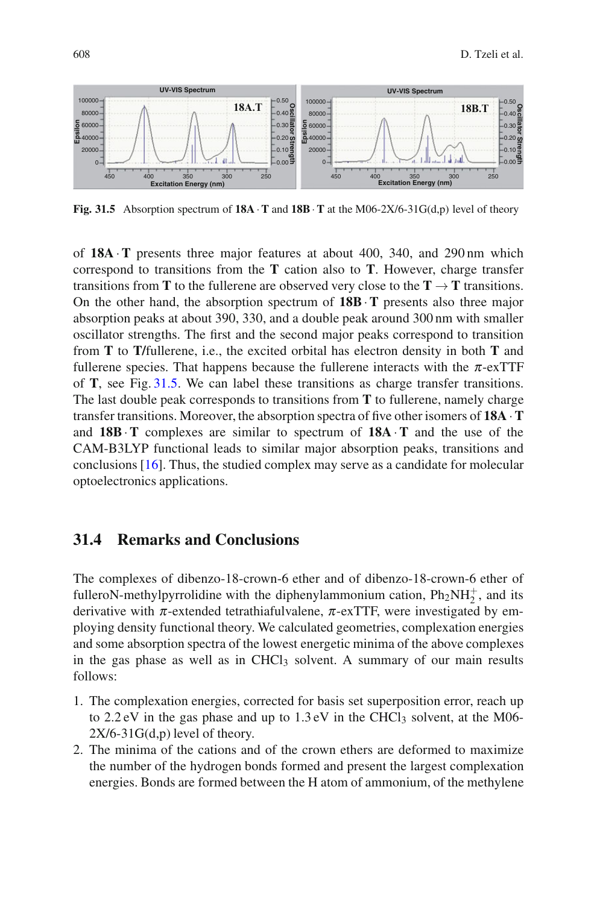

<span id="page-9-1"></span>**Fig. 31.5** Absorption spectrum of **18A**  $\cdot$ **T** and **18B**  $\cdot$ **T** at the M06-2X/6-31G(d,p) level of theory

of **18A** ·**T** presents three major features at about 400, 340, and 290 nm which correspond to transitions from the **T** cation also to **T**. However, charge transfer transitions from **T** to the fullerene are observed very close to the **T**  $\rightarrow$  **T** transitions. On the other hand, the absorption spectrum of **18B**·**T** presents also three major absorption peaks at about 390, 330, and a double peak around 300 nm with smaller oscillator strengths. The first and the second major peaks correspond to transition from **T** to **T/**fullerene, i.e., the excited orbital has electron density in both **T** and fullerene species. That happens because the fullerene interacts with the  $\pi$ -exTTF of **T**, see Fig. [31.5.](#page-9-1) We can label these transitions as charge transfer transitions. The last double peak corresponds to transitions from **T** to fullerene, namely charge transfer transitions. Moreover, the absorption spectra of five other isomers of **18A** ·**T** and **18B**·**T** complexes are similar to spectrum of **18A** ·**T** and the use of the CAM-B3LYP functional leads to similar major absorption peaks, transitions and conclusions [\[16\]](#page-10-13). Thus, the studied complex may serve as a candidate for molecular optoelectronics applications.

### <span id="page-9-0"></span>**31.4 Remarks and Conclusions**

The complexes of dibenzo-18-crown-6 ether and of dibenzo-18-crown-6 ether of fulleroN-methylpyrrolidine with the diphenylammonium cation,  $Ph_2NH_2^+$ , and its derivative with  $\pi$ -extended tetrathiafulvalene,  $\pi$ -exTTF, were investigated by employing density functional theory. We calculated geometries, complexation energies and some absorption spectra of the lowest energetic minima of the above complexes in the gas phase as well as in CHCl<sub>3</sub> solvent. A summary of our main results follows:

- 1. The complexation energies, corrected for basis set superposition error, reach up to  $2.2 \text{ eV}$  in the gas phase and up to  $1.3 \text{ eV}$  in the CHCl<sub>3</sub> solvent, at the M06- $2X/6-31G(d,p)$  level of theory.
- 2. The minima of the cations and of the crown ethers are deformed to maximize the number of the hydrogen bonds formed and present the largest complexation energies. Bonds are formed between the H atom of ammonium, of the methylene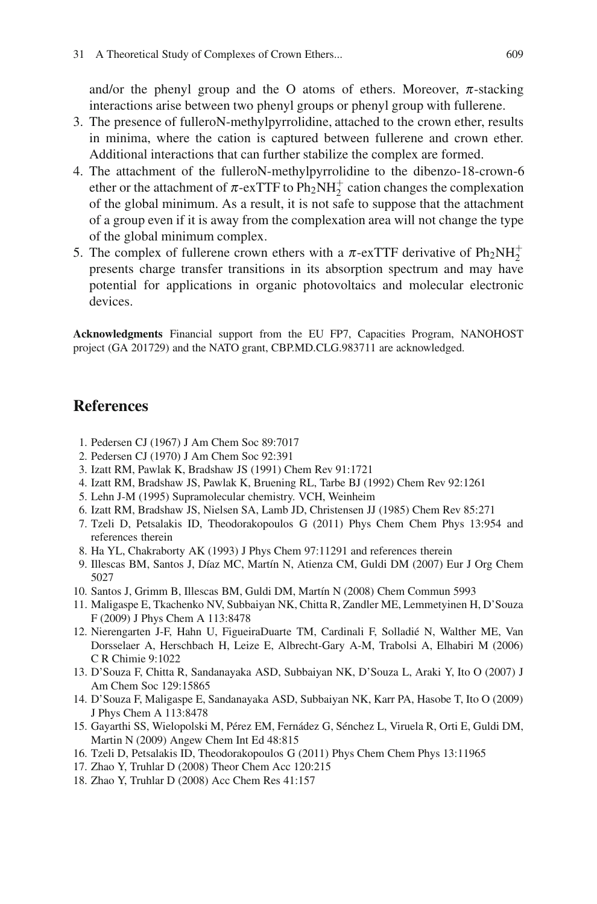and/or the phenyl group and the O atoms of ethers. Moreover,  $\pi$ -stacking interactions arise between two phenyl groups or phenyl group with fullerene.

- 3. The presence of fulleroN-methylpyrrolidine, attached to the crown ether, results in minima, where the cation is captured between fullerene and crown ether. Additional interactions that can further stabilize the complex are formed.
- 4. The attachment of the fulleroN-methylpyrrolidine to the dibenzo-18-crown-6 ether or the attachment of  $\pi$ -exTTF to Ph<sub>2</sub>NH<sub>2</sub><sup>+</sup> cation changes the complexation of the global minimum. As a result, it is not safe to suppose that the attachment of a group even if it is away from the complexation area will not change the type of the global minimum complex.
- 5. The complex of fullerene crown ethers with a  $\pi$ -exTTF derivative of  $Ph_2NH_2^+$ presents charge transfer transitions in its absorption spectrum and may have potential for applications in organic photovoltaics and molecular electronic devices.

**Acknowledgments** Financial support from the EU FP7, Capacities Program, NANOHOST project (GA 201729) and the NATO grant, CBP.MD.CLG.983711 are acknowledged.

### **References**

- <span id="page-10-0"></span>1. Pedersen CJ (1967) J Am Chem Soc 89:7017
- <span id="page-10-1"></span>2. Pedersen CJ (1970) J Am Chem Soc 92:391
- <span id="page-10-2"></span>3. Izatt RM, Pawlak K, Bradshaw JS (1991) Chem Rev 91:1721
- <span id="page-10-4"></span>4. Izatt RM, Bradshaw JS, Pawlak K, Bruening RL, Tarbe BJ (1992) Chem Rev 92:1261
- <span id="page-10-3"></span>5. Lehn J-M (1995) Supramolecular chemistry. VCH, Weinheim
- <span id="page-10-5"></span>6. Izatt RM, Bradshaw JS, Nielsen SA, Lamb JD, Christensen JJ (1985) Chem Rev 85:271
- <span id="page-10-6"></span>7. Tzeli D, Petsalakis ID, Theodorakopoulos G (2011) Phys Chem Chem Phys 13:954 and references therein
- <span id="page-10-7"></span>8. Ha YL, Chakraborty AK (1993) J Phys Chem 97:11291 and references therein
- <span id="page-10-8"></span>9. Illescas BM, Santos J, Díaz MC, Martín N, Atienza CM, Guldi DM (2007) Eur J Org Chem 5027
- <span id="page-10-12"></span>10. Santos J, Grimm B, Illescas BM, Guldi DM, Martín N (2008) Chem Commun 5993
- 11. Maligaspe E, Tkachenko NV, Subbaiyan NK, Chitta R, Zandler ME, Lemmetyinen H, D'Souza F (2009) J Phys Chem A 113:8478
- <span id="page-10-10"></span>12. Nierengarten J-F, Hahn U, FigueiraDuarte TM, Cardinali F, Solladie N, Walther ME, Van ´ Dorsselaer A, Herschbach H, Leize E, Albrecht-Gary A-M, Trabolsi A, Elhabiri M (2006) C R Chimie 9:1022
- <span id="page-10-11"></span>13. D'Souza F, Chitta R, Sandanayaka ASD, Subbaiyan NK, D'Souza L, Araki Y, Ito O (2007) J Am Chem Soc 129:15865
- <span id="page-10-9"></span>14. D'Souza F, Maligaspe E, Sandanayaka ASD, Subbaiyan NK, Karr PA, Hasobe T, Ito O (2009) J Phys Chem A 113:8478
- 15. Gayarthi SS, Wielopolski M, Pérez EM, Fernádez G, Sénchez L, Viruela R, Orti E, Guldi DM, Martin N (2009) Angew Chem Int Ed 48:815
- <span id="page-10-13"></span>16. Tzeli D, Petsalakis ID, Theodorakopoulos G (2011) Phys Chem Chem Phys 13:11965
- <span id="page-10-14"></span>17. Zhao Y, Truhlar D (2008) Theor Chem Acc 120:215
- <span id="page-10-15"></span>18. Zhao Y, Truhlar D (2008) Acc Chem Res 41:157